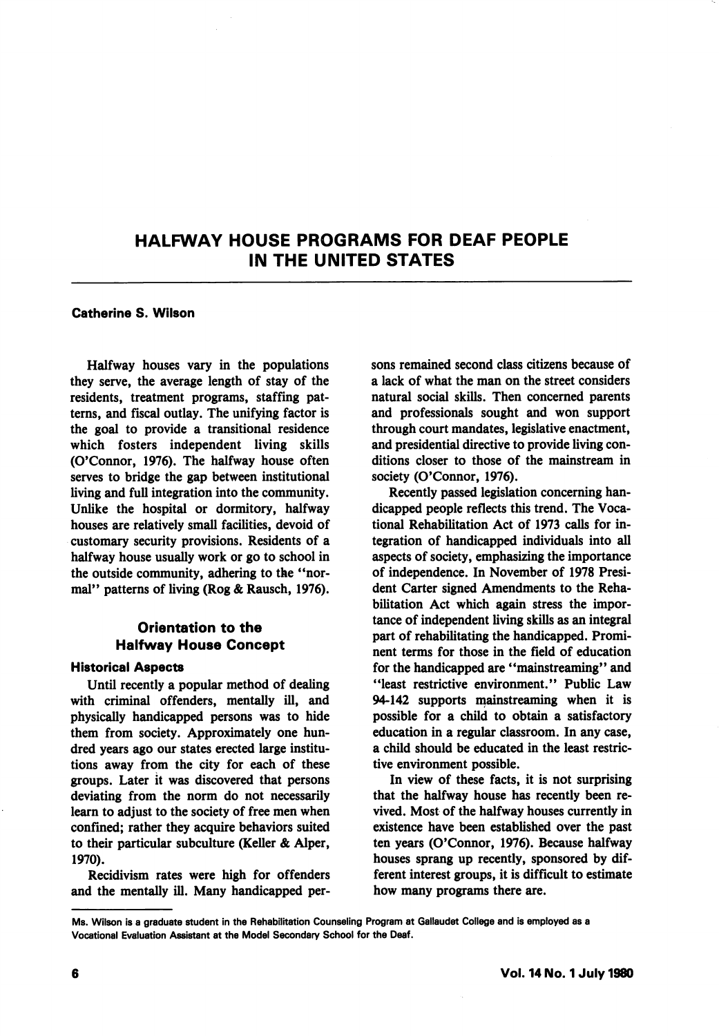# HALFWAY HOUSE PROGRAMS FOR DEAF PEOPLE IN THE UNITED STATES

#### Catherine S. Wilson

Halfway houses vary in the populations they serve, the average length of stay of the residents, treatment programs, staffing pat terns, and fiscal outlay. The unifying factor is the goal to provide a transitional residence which fosters independent living skills (O'Connor, 1976). The halfway house often serves to bridge the gap between institutional living and full integration into the community. Unlike the hospital or dormitory, halfway houses are relatively small facilities, devoid of customary security provisions. Residents of a halfway house usually work or go to school in the outside community, adhering to the ''nor mal" patterns of living (Rog & Rausch, 1976).

# Orientation to the Halfway House Concept

#### Historicai Aspects

Until recently a popular method of dealing with criminal offenders, mentally ill, and physically handicapped persons was to hide them from society. Approximately one hun dred years ago our states erected large institu tions away from the city for each of these groups. Later it was discovered that persons deviating from the norm do not necessarily learn to adjust to the society of free men when confined; rather they acquire behaviors suited to their particular subculture (Keller & Alper, 1970).

Recidivism rates were high for offenders and the mentally ill. Many handicapped per

sons remained second class citizens because of a lack of what the man on the street considers natural social skills. Then concerned parents and professionals sought and won support through court mandates, legislative enactment, and presidential directive to provide living con ditions closer to those of the mainstream in society (O'Connor, 1976).

Recently passed legislation concerning han dicapped people refiects this trend. The Voca tional Rehabilitation Act of 1973 calls for in tegration of handicapped individuals into all aspects of society, emphasizing the importance of independence. In November of 1978 Presi dent Carter signed Amendments to the Reha bilitation Act which again stress the impor tance of independent living skills as an integral part of rehabilitating the handicapped. Promi nent terms for those in the field of education for the handicapped are "mainstreaming" and "least restrictive environment." Public Law 94-142 supports mainstreaming when it is possible for a child to obtain a satisfactory education in a regular classroom. In any case, a child should be educated in the least restric tive environment possible.

In view of these facts, it is not surprising that the halfway house has recently been re vived. Most of the halfway houses currently in existence have been established over the past ten years (O'Connor, 1976). Because halfway houses sprang up recently, sponsored by dif ferent interest groups, it is difficult to estimate how many programs there are.

Ms. Wilson Is a graduate student in the Rehabilitation Counseling Program at Gallaudet College and is employed as a Vocational Evaluation Assistant at the Model Secondary School for the Deaf.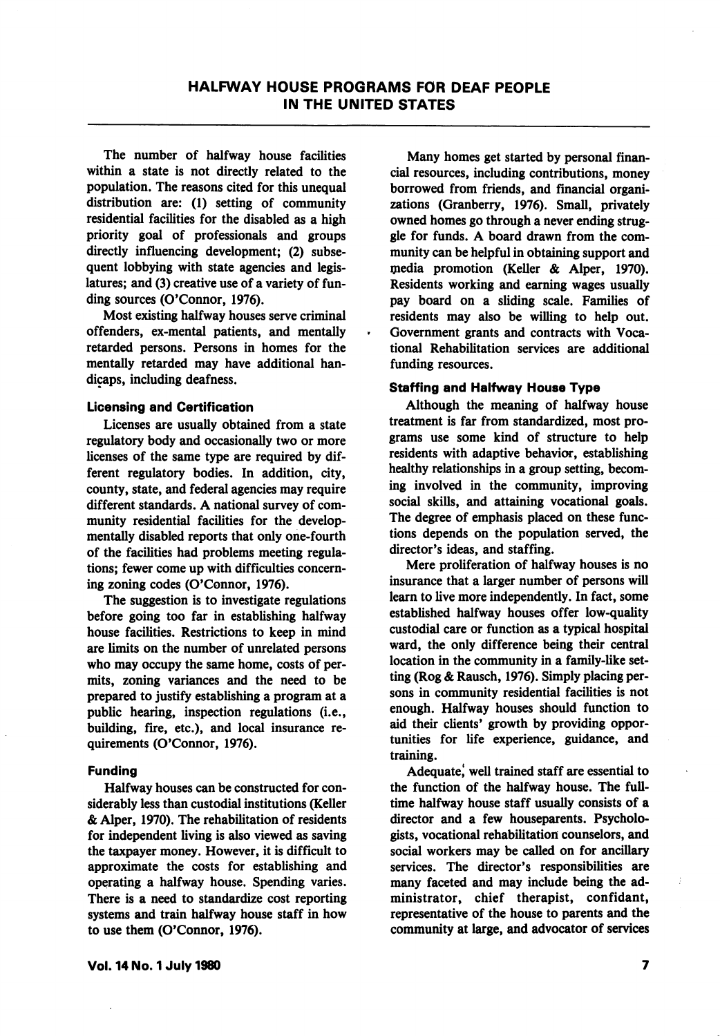The number of halfway house facilities within a state is not directly related to the population. The reasons cited for this unequal distribution are: (1) setting of community residential facilities for the disabled as a high priority goal of professionals and groups directly influencing development; (2) subse quent lobbying with state agencies and legis latures; and (3) creative use of a variety of fun ding sources (O'Connor, 1976).

Most existing halfway houses serve criminal offenders, ex-mental patients, and mentally retarded persons. Persons in homes for the mentally retarded may have additional han dicaps, including deafness.

#### Licensing and Certification

Licenses are usually obtained from a state regulatory body and occasionally two or more licenses of the same type are required by dif ferent regulatory bodies. In addition, city, county, state, and federal agencies may require different standards. A national survey of com munity residential facilities for the developmentally disabled reports that only one-fourth of the facilities had problems meeting regula tions; fewer come up with difficulties concern ing zoning codes (O'Connor, 1976).

The suggestion is to investigate regulations before going too far in establishing halfway house facilities. Restrictions to keep in mind are limits on the number of unrelated persons who may occupy the same home, costs of per mits, zoning variances and the need to be prepared to justify establishing a program at a public hearing, inspection regulations (i.e., building, fire, etc.), and local insurance re quirements (O'Connor, 1976).

### Funding

Halfway houses can be constructed for con siderably less than custodial institutions (Keller & Alper, 1970). The rehabilitation of residents for independent living is also viewed as saving the taxpayer money. However, it is difficult to approximate the costs for establishing and operating a halfway house. Spending varies. There is a need to standardize cost reporting systems and train halfway house staff in how to use them (O'Connor, 1976).

Many homes get started by personal finan cial resources, including contributions, money borrowed from friends, and financial organi zations (Cranberry, 1976). Small, privately owned homes go through a never ending strug gle for funds. A board drawn from the com munity can be helpful in obtaining support and media promotion (Keller & Alper, 1970). Residents working and earning wages usually pay board on a sliding scale. Families of residents may also be willing to help out. Government grants and contracts with Voca tional Rehabilitation services are additional funding resources.

### Staffing and Halfway House Type

Although the meaning of halfway house treatment is far from standardized, most pro grams use some kind of structure to help residents with adaptive behavior, establishing healthy relationships in a group setting, becom ing involved in the community, improving social skills, and attaining vocational goals. The degree of emphasis placed on these func tions depends on the population served, the director's ideas, and staffing.

Mere proliferation of halfway houses is no insurance that a larger number of persons will learn to live more independently. In fact, some established halfway houses offer low-quality custodial care or function as a typical hospital ward, the only difference being their central location in the community in a family-like set ting (Rog & Rausch, 1976). Simply placing per sons in community residential facilities is not enough. Halfway houses should function to aid their clients' growth by providing oppor tunities for life experience, guidance, and training.

Adequate, well trained staff are essential to the function of the halfway house. The fulltime halfway house staff usually consists of a director and a few houseparents. Psycholo gists, vocational rehabilitation counselors, and social workers may be called on for ancillary services. The director's responsibilities are many faceted and may include being the ad ministrator, chief therapist, confidant, representative of the house to parents and the community at large, and advocator of services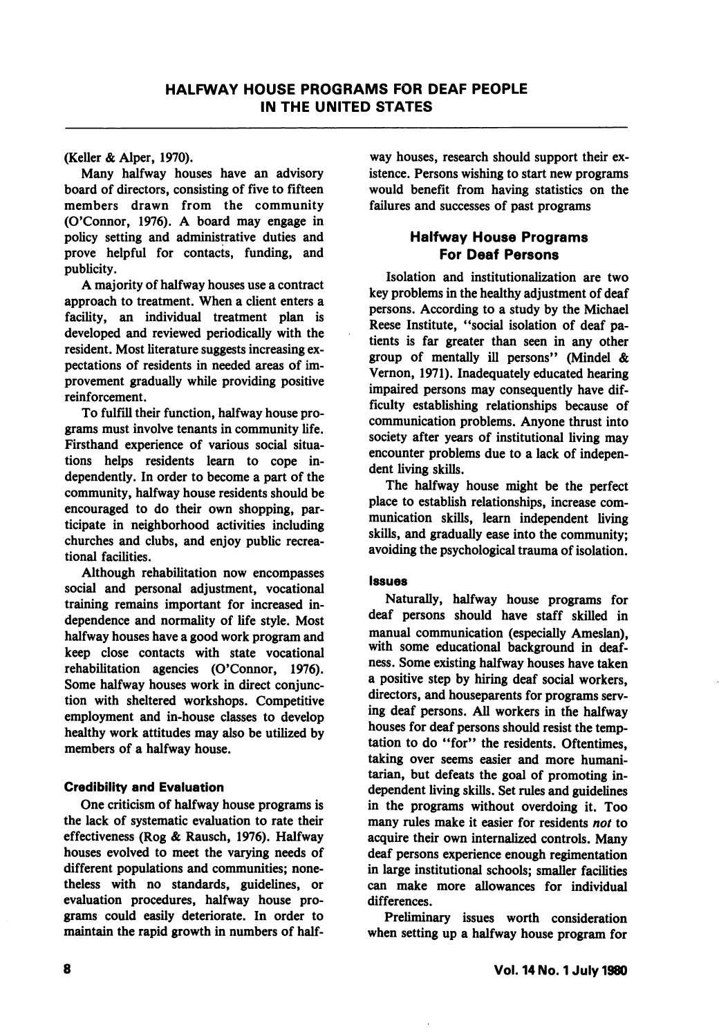(Keller & Alper, 1970).

Many halfway houses have an advisory board of directors, consisting of five to fifteen members drawn from the community (O'Connor, 1976). A board may engage in policy setting and administrative duties and prove helpful for contacts, funding, and publicity.

A majority of halfway houses use a contract approach to treatment. When a client enters a facility, an individual treatment plan is developed and reviewed periodically with the resident. Most literature suggests increasing ex pectations of residents in needed areas of im provement gradually while providing positive reinforcement.

To fulfill their function, halfway house pro grams must involve tenants in community life. Firsthand experience of various social situa tions helps residents learn to cope in dependently. In order to become a part of the community, halfway house residents should be encouraged to do their own shopping, par ticipate in neighborhood activities including churches and clubs, and enjoy public recrea tional facilities.

Although rehabilitation now encompasses social and personal adjustment, vocational training remains important for increased in dependence and normality of life style. Most halfway houses have a good work program and keep close contacts with state vocational rehabilitation agencies (O'Connor, 1976). Some halfway houses work in direct conjunc tion with sheltered workshops. Competitive employment and in-house classes to develop healthy work attitudes may also be utilized by members of a halfway house.

### **Credibility and Evaluation**

One criticism of halfway house programs is the lack of systematic evaluation to rate their effectiveness (Rog & Rausch, 1976). Halfway houses evolved to meet the varying needs of different populations and communities; none theless with no standards, guidelines, or evaluation procedures, halfway house pro grams could easily deteriorate. In order to maintain the rapid growth in numbers of half

way houses, research should support their ex istence. Persons wishing to start new programs would benefit from having statistics on the failures and successes of past programs

### Halfway House Programs For Deaf Persons

Isolation and institutionalization are two key problems in the healthy adjustment of deaf persons. According to a study by the Michael Reese Institute, "social isolation of deaf patients is far greater than seen in any other group of mentally ill persons" (Mindel & Vernon, 1971). Inadequately educated hearing impaired persons may consequently have dif ficulty establishing relationships because of communication problems. Anyone thrust into society after years of institutional living may encounter problems due to a lack of indepen dent living skills.

The halfway house might be the perfect place to establish relationships, increase com munication skills, learn independent living skills, and gradually ease into the community; avoiding the psychological trauma of isolation.

### Issues

Naturally, halfway house programs for deaf persons should have staff skilled in manual communication (especially Ameslan), with some educational background in deaf^ ness. Some existing halfway houses have taken a positive step by hiring deaf social workers, directors, and houseparents for programs serv ing deaf persons. All workers in the halfway houses for deaf persons should resist the temp tation to do "for" the residents. Oftentimes, taking over seems easier and more humani tarian, but defeats the goal of promoting in dependent living skills. Set rules and guidelines in the programs without overdoing it. Too many rules make it easier for residents not to acquire their own internalized controls. Many deaf persons experience enough regimentation in large institutional schools; smaller facilities can make more allowances for individual differences.

Preliminary issues worth consideration when setting up a halfway house program for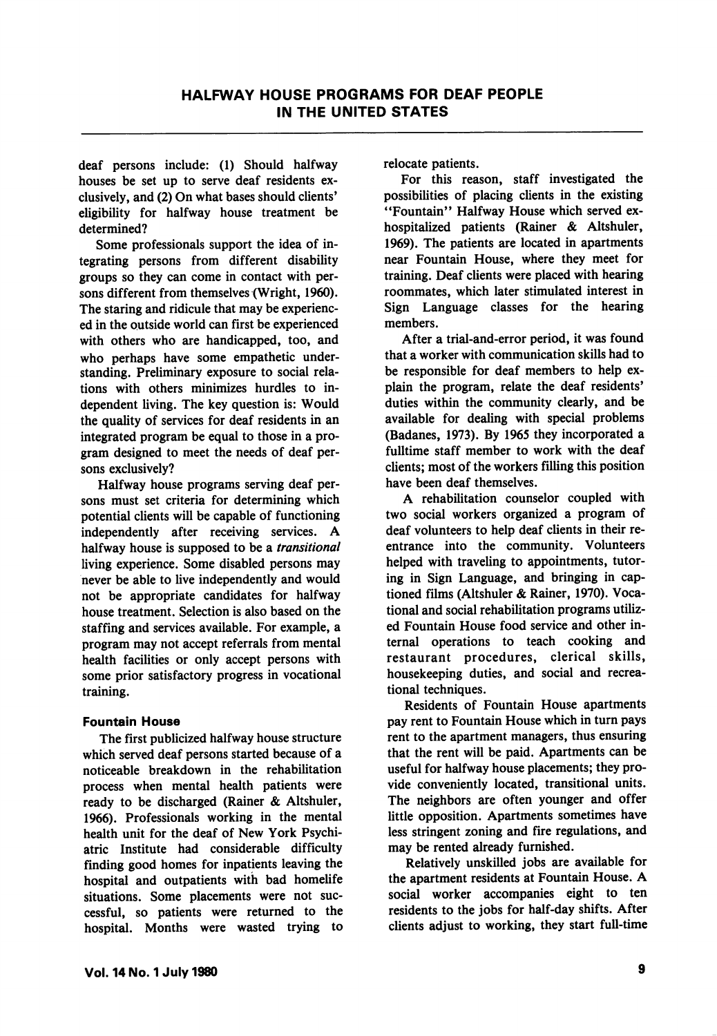deaf persons include: (1) Should halfway houses be set up to serve deaf residents ex clusively, and (2) On what bases should clients' eligibility for halfway house treatment be determined?

Some professionals support the idea of in tegrating persons from different disability groups so they can come in contact with per sons different from themselves (Wright, 1960). The staring and ridicule that may be experienc ed in the outside world can first be experienced with others who are handicapped, too, and who perhaps have some empathetic understanding. Preliminary exposure to social rela tions with others minimizes hurdles to in dependent living. The key question is: Would the quality of services for deaf residents in an integrated program be equal to those in a pro gram designed to meet the needs of deaf per sons exclusively?

Halfway house programs serving deaf per sons must set criteria for determining which potential clients will be capable of functioning independently after receiving services. A halfway house is supposed to be a transitional living experience. Some disabled persons may never be able to live independently and would not be appropriate candidates for halfway house treatment. Selection is also based on the staffing and services available. For example, a program may not accept referrals from mental health facilities or only accept persons with some prior satisfactory progress in vocational training.

### Fountain House

The first publicized halfway house structure which served deaf persons started because of a noticeable breakdown in the rehabilitation process when mental health patients were ready to be discharged (Rainer & Altshuler, 1966). Professionals working in the mental health unit for the deaf of New York Psychi atric Institute had considerable difficulty finding good homes for inpatients leaving the hospital and outpatients with bad homelife situations. Some placements were not suc cessful, so patients were returned to the hospital. Months were wasted trying to

relocate patients.

For this reason, staff investigated the possibilities of placing clients in the existing \*Tountain" Halfway House which served exhospitalized patients (Rainer & Altshuler, 1969). The patients are located in apartments near Fountain House, where they meet for training. Deaf clients were placed with hearing roommates, which later stimulated interest in Sign Language classes for the hearing members.

After a trial-and-error period, it was found that a worker with communication skills had to be responsible for deaf members to help ex plain the program, relate the deaf residents' duties within the community clearly, and be available for dealing with special problems (Badanes, 1973). By 1965 they incorporated a fulltime staff member to work with the deaf clients; most of the workers filling this position have been deaf themselves.

A rehabilitation counselor coupled with two social workers organized a program of deaf volunteers to help deaf clients in their reentrance into the community. Volunteers helped with traveling to appointments, tutor ing in Sign Language, and bringing in captioned films (Altshuler & Rainer, 1970). Voca tional and social rehabilitation programs utiliz ed Fountain House food service and other in ternal operations to teach cooking and restaurant procedures, clerical skills, housekeeping duties, and social and recrea tional techniques.

Residents of Fountain House apartments pay rent to Fountain House which in turn pays rent to the apartment managers, thus ensuring that the rent will be paid. Apartments can be useful for halfway house placements; they pro vide conveniently located, transitional units. The neighbors are often younger and offer little opposition. Apartments sometimes have less stringent zoning and fire regulations, and may be rented already furnished.

Relatively unskilled jobs are available for the apartment residents at Fountain House. A social worker accompanies eight to ten residents to the jobs for half-day shifts. After clients adjust to working, they start full-time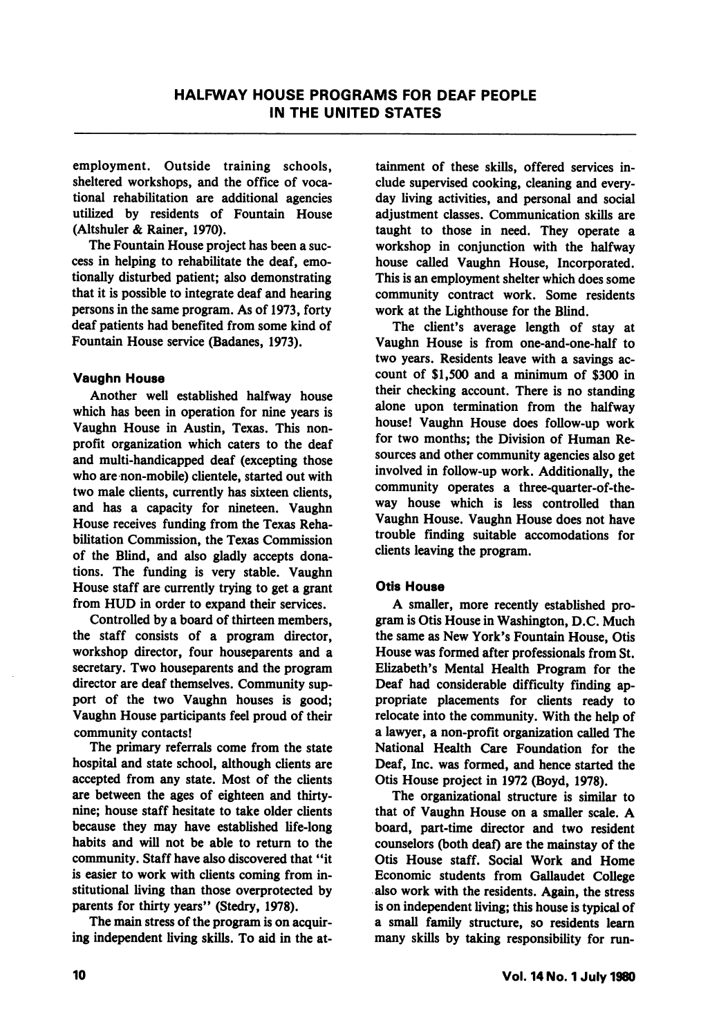employment. Outside training schools, sheltered workshops, and the office of voca tional rehabilitation are additional agencies utilized by residents of Fountain House (Altshuler & Rainer, 1970).

The Fountain House project has been a suc cess in helping to rehabilitate the deaf, emo tionally disturbed patient; also demonstrating that it is possible to integrate deaf and hearing persons in the same program. As of 1973, forty deaf patients had benefited from some kind of Fountain House service (Badanes, 1973).

### Vaughn House

Another well established halfway house which has been in operation for nine years is Vaughn House in Austin, Texas. This non profit organization which caters to the deaf and multi-handicapped deaf (excepting those who are non-mobile) clientele, started out with two male clients, currently has sixteen clients, and has a capacity for nineteen. Vaughn House receives funding from the Texas Reha bilitation Commission, the Texas Commission of the Blind, and also gladly accepts dona tions. The funding is very stable. Vaughn House staff are currently trying to get a grant from HUD in order to expand their services.

Controlled by a board of thirteen members, the staff consists of a program director, workshop director, four houseparents and a secretary. Two houseparents and the program director are deaf themselves. Community sup port of the two Vaughn houses is good; Vaughn House participants feel proud of their community contacts!

The primary referrals come from the state hospital and state school, although clients are accepted from any state. Most of the clients are between the ages of eighteen and thirtynine; house staff hesitate to take older clients because they may have established life-long habits and will not be able to return to the community. Staff have also discovered that "it is easier to work with clients coming from in stitutional living than those overprotected by parents for thirty years" (Stedry, 1978).

The main stress of the program is on acquir ing independent living skills. To aid in the at

tainment of these skills, offered services in clude supervised cooking, cleaning and every day living activities, and personal and social adjustment classes. Communication skills are taught to those in need. They operate a workshop in conjunction with the halfway house called Vaughn House, Incorporated. This is an employment shelter which does some community contract work. Some residents work at the Lighthouse for the Blind.

The client's average length of stay at Vaughn House is from one-and-one-half to two years. Residents leave with a savings ac count of \$1,500 and a minimum of \$300 in their checking account. There is no standing alone upon termination from the halfway house! Vaughn House does follow-up work for two months; the Division of Human Re sources and other community agencies also get involved in follow-up work. Additionally, the community operates a three-quarter-of-theway house which is less controlled than Vaughn House. Vaughn House does not have trouble finding suitable accomodations for clients leaving the program.

### Otis House

A smaller, more recently established pro gram is Otis House in Washington, D.C. Much the same as New York's Fountain House, Otis House was formed after professionals from St. Elizabeth's Mental Health Program for the Deaf had considerable difficulty finding ap propriate placements for clients ready to relocate into the community. With the help of a lawyer, a non-profit organization called The National Health Care Foundation for the Deaf, Inc. was formed, and hence started the Otis House project in 1972 (Boyd, 1978).

The organizational structure is similar to that of Vaughn House on a smaller scale. A board, part-time director and two resident counselors (both deaf) are the mainstay of the Otis House staff. Social Work and Home Economic students from Gallaudet College also work with the residents. Again, the stress is on independent living; this house is typical of a small family structure, so residents learn many skills by taking responsibility for run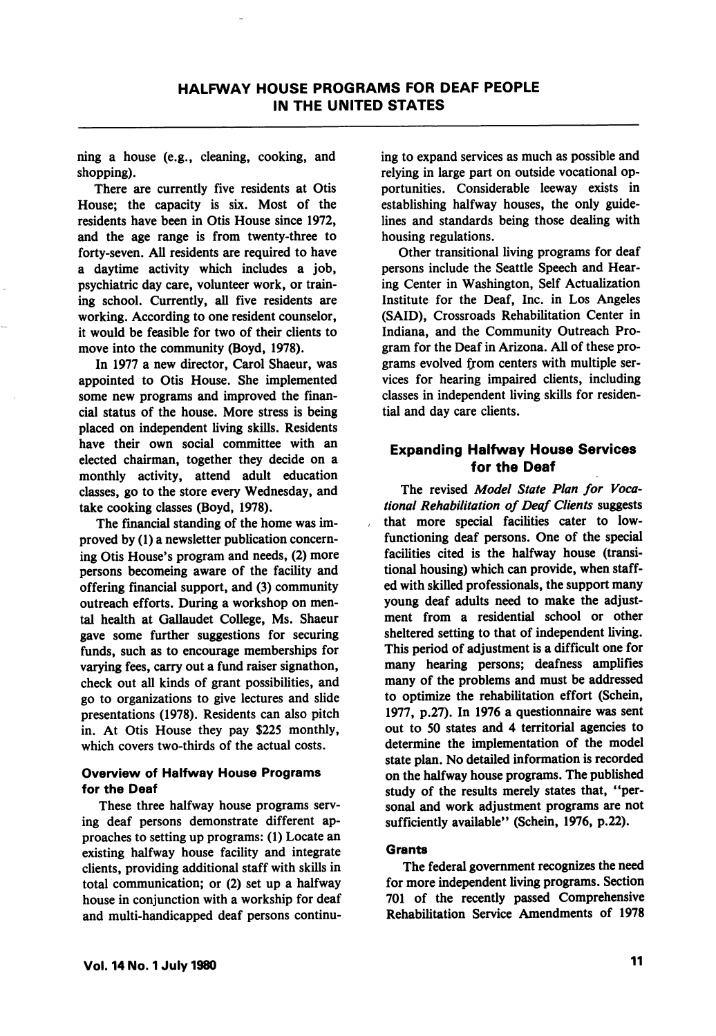ning a house (e.g., cleaning, cooking, and shopping).

There are currently five residents at Otis House; the capacity is six. Most of the residents have been in Otis House since 1972, and the age range is from twenty-three to forty-seven. All residents are required to have a daytime activity which includes a job, psychiatric day care, volunteer work, or train ing school. Currently, all five residents are working. According to one resident counselor, it would be feasible for two of their clients to move into the community (Boyd, 1978).

In 1977 a new director, Carol Shaeur, was appointed to Otis House. She implemented some new programs and improved the finan cial status of the house. More stress is being placed on independent living skills. Residents have their own social committee with an elected chairman, together they decide on a monthly activity, attend adult education classes, go to the store every Wednesday, and take cooking classes (Boyd, 1978).

The financial standing of the home was im proved by (1) a newsletter publication concern ing Otis House's program and needs, (2) more persons becomeing aware of the facility and offering financial support, and (3) community outreach efforts. During a workshop on men tal health at Gallaudet College, Ms. Shaeur gave some further suggestions for securing funds, such as to encourage memberships for varying fees, carry out a fund raiser signathon, check out all kinds of grant possibilities, and go to organizations to give lectures and slide presentations (1978). Residents can also pitch in. At Otis House they pay \$225 monthly, which covers two-thirds of the actual costs.

### Overview of Halfway House Programs for the Deaf

These three halfway house programs serv ing deaf persons demonstrate different ap proaches to setting up programs: (1) Locate an existing halfway house facility and integrate clients, providing additional staff with skills in total communication; or (2) set up a halfway house in conjunction with a workship for deaf and multi-handicapped deaf persons continu

ing to expand services as much as possible and relying in large part on outside vocational op portunities. Considerable leeway exists in establishing halfway houses, the only guide lines and standards being those dealing with housing regulations.

Other transitional living programs for deaf persons include the Seattle Speech and Hear ing Center in Washington, Self Actualization Institute for the Deaf, Inc. in Los Angeles (SAID), Crossroads Rehabilitation Center in Indiana, and the Community Outreach Pro gram for the Deaf in Arizona. All of these pro grams evolved from centers with multiple services for hearing impaired clients, including classes in independent living skills for residen tial and day care clients.

# Expanding Halfway House Services for the Deaf

The revised Model State Plan for Vocational Rehabilitation of Deaf Clients suggests that more special facilities cater to lowfunctioning deaf persons. One of the special facilities cited is the halfway house (transi tional housing) which can provide, when staff ed with skilled professionals, the support many young deaf adults need to make the adjust ment from a residential school or other sheltered setting to that of independent living. This period of adjustment is a difficult one for many hearing persons; deafness amplifies many of the problems and must be addressed to optimize the rehabilitation effort (Schein, 1977, p.27). In 1976 a questionnaire was sent out to 50 states and 4 territorial agencies to determine the implementation of the model state plan. No detailed information is recorded on the halfway house programs. The published study of the results merely states that, "per sonal and work adjustment programs are not sufficiently available" (Schein, 1976, p.22).

### **Grants**

The federal government recognizes the need for more independent living programs. Section 701 of the recently passed Comprehensive Rehabilitation Service Amendments of 1978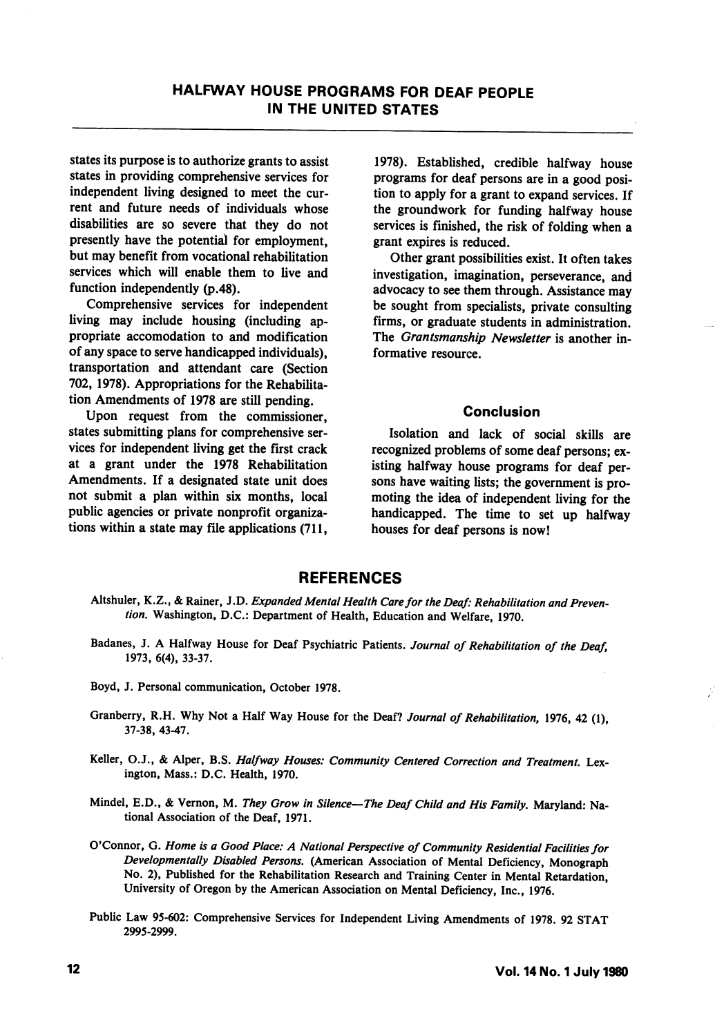states its purpose is to authorize grants to assist states in providing comprehensive services for independent living designed to meet the cur rent and future needs of individuals whose disabilities are so severe that they do not presently have the potential for employment, but may benefit from vocational rehabilitation services which will enable them to live and function independently (p.48).

Comprehensive services for independent living may include housing (including ap propriate accomodation to and modification of any space to serve handicapped individuals), transportation and attendant care (Section 702, 1978). Appropriations for the Rehabilita tion Amendments of 1978 are still pending.

Upon request from the commissioner, states submitting plans for comprehensive ser vices for independent living get the first crack at a grant under the 1978 Rehabilitation Amendments. If a designated state unit does not submit a plan within six months, local public agencies or private nonprofit organiza tions within a state may file applications (711,

1978). Established, credible halfway house programs for deaf persons are in a good posi tion to apply for a grant to expand services. If the groundwork for funding halfway house services is finished, the risk of folding when a grant expires is reduced.

Other grant possibilities exist. It often takes investigation, imagination, perseverance, and advocacy to see them through. Assistance may be sought from specialists, private consulting firms, or graduate students in administration. The Grantsmanship Newsletter is another informative resource.

### Conclusion

Isolation and lack of social skills are recognized problems of some deaf persons; ex isting halfway house programs for deaf per sons have waiting lists; the government is pro moting the idea of independent living for the handicapped. The time to set up halfway houses for deaf persons is now!

# **REFERENCES**

- Altshuler, K.Z., & Rainer, J.D. Expanded Mental Health Care for the Deaf: Rehabilitation and Prevention. Washington, D.C.: Department of Health, Education and Welfare, 1970.
- Badanes, J. A Halfway House for Deaf Psychiatric Patients. Journal of Rehabilitation of the Deaf, 1973, 6(4), 33-37.
- Boyd, J. Personal communication, October 1978.
- Granberry, R.H. Why Not a Half Way House for the Deaf? Journal of Rehabilitation, 1976, 42 (1), 37-38, 43-47.
- Keller, O.J., & Alper, B.S. Halfway Houses: Community Centered Correction and Treatment. Lexington, Mass.: D.C. Health, 1970.
- Mindel, E.D., & Vernon, M. They Grow in Silence-The Deaf Child and His Family. Maryland: National Association of the Deaf, 1971.
- O'Connor, G. Home is a Good Place: A National Perspective of Community Residential Facilities for Developmentally Disabled Persons. (American Association of Mental Deficiency, Monograph No. 2), Published for the Rehabilitation Research and Training Center in Mental Retardation, University of Oregon by the American Association on Mental Deficiency, Inc., 1976.
- Public Law 95-602: Comprehensive Services for Independent Living Amendments of 1978. 92 STAT 2995-2999.